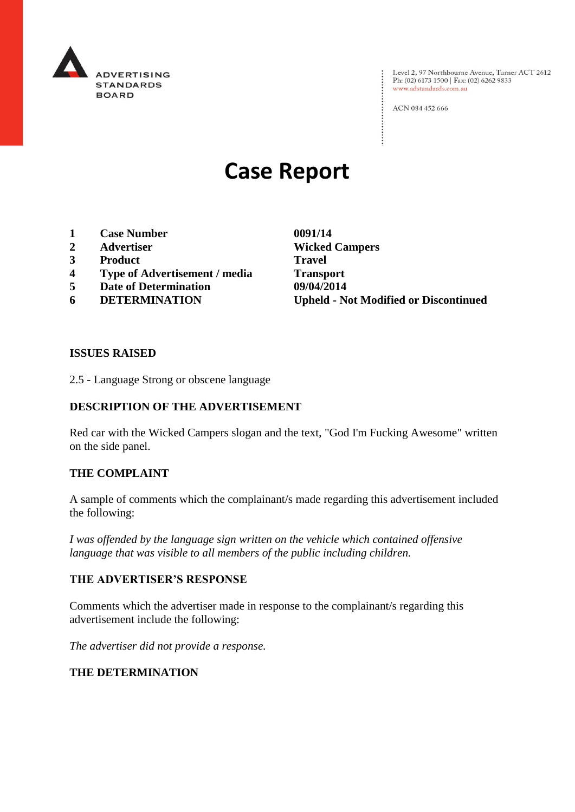

: Level 2, 97 Northbourne Avenue, Turner ACT 2612<br>: Ph: (02) 6173 1500 | Fax: (02) 6262 9833 Ph: (02) 6173 1500 | Fax: (02) 6262 9833 www.adstandards.com.au

ACN 084 452 666

# **Case Report**

- **1 Case Number 0091/14**
- 
- **3 Product Travel**
- **4 Type of Advertisement / media Transport**
- **5 Date of Determination 09/04/2014**<br> **6 DETERMINATION Upheld N**
- 

**2 Advertiser Wicked Campers 6 DETERMINATION Upheld - Not Modified or Discontinued**

 $\vdots$ 

#### **ISSUES RAISED**

2.5 - Language Strong or obscene language

### **DESCRIPTION OF THE ADVERTISEMENT**

Red car with the Wicked Campers slogan and the text, "God I'm Fucking Awesome" written on the side panel.

### **THE COMPLAINT**

A sample of comments which the complainant/s made regarding this advertisement included the following:

*I was offended by the language sign written on the vehicle which contained offensive language that was visible to all members of the public including children.*

#### **THE ADVERTISER'S RESPONSE**

Comments which the advertiser made in response to the complainant/s regarding this advertisement include the following:

*The advertiser did not provide a response.*

#### **THE DETERMINATION**